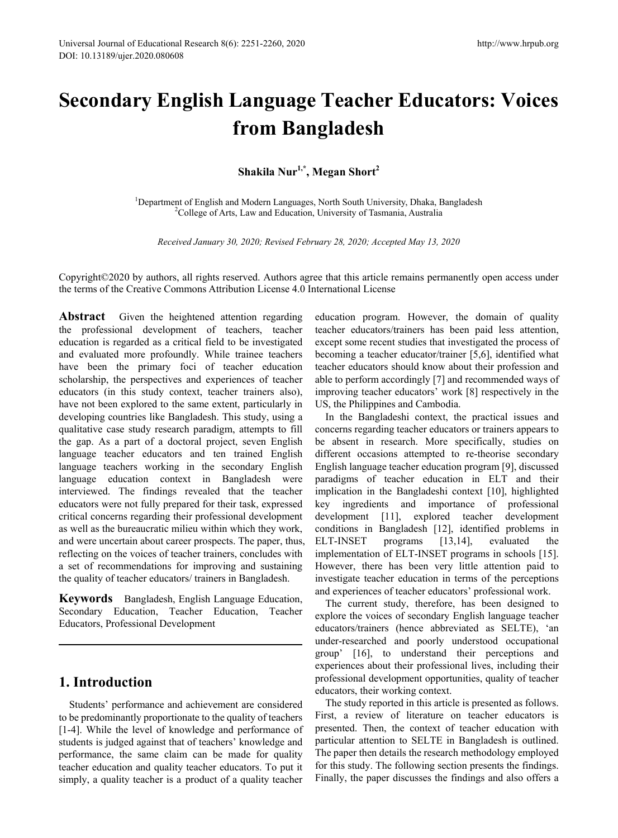# **Secondary English Language Teacher Educators: Voices from Bangladesh**

**Shakila Nur1,\*, Megan Short2** 

<sup>1</sup>Department of English and Modern Languages, North South University, Dhaka, Bangladesh <sup>2</sup>College of Arts, Law and Education, University of Tasmania, Australia <sup>2</sup>College of Arts, Law and Education, University of Tasmania, Australia

*Received January 30, 2020; Revised February 28, 2020; Accepted May 13, 2020*

Copyright©2020 by authors, all rights reserved. Authors agree that this article remains permanently open access under the terms of the Creative Commons Attribution License 4.0 International License

**Abstract** Given the heightened attention regarding the professional development of teachers, teacher education is regarded as a critical field to be investigated and evaluated more profoundly. While trainee teachers have been the primary foci of teacher education scholarship, the perspectives and experiences of teacher educators (in this study context, teacher trainers also), have not been explored to the same extent, particularly in developing countries like Bangladesh. This study, using a qualitative case study research paradigm, attempts to fill the gap. As a part of a doctoral project, seven English language teacher educators and ten trained English language teachers working in the secondary English language education context in Bangladesh were interviewed. The findings revealed that the teacher educators were not fully prepared for their task, expressed critical concerns regarding their professional development as well as the bureaucratic milieu within which they work, and were uncertain about career prospects. The paper, thus, reflecting on the voices of teacher trainers, concludes with a set of recommendations for improving and sustaining the quality of teacher educators/ trainers in Bangladesh.

**Keywords** Bangladesh, English Language Education, Secondary Education, Teacher Education, Teacher Educators, Professional Development

## **1. Introduction**

Students' performance and achievement are considered to be predominantly proportionate to the quality of teachers [1-4]. While the level of knowledge and performance of students is judged against that of teachers' knowledge and performance, the same claim can be made for quality teacher education and quality teacher educators. To put it simply, a quality teacher is a product of a quality teacher

education program. However, the domain of quality teacher educators/trainers has been paid less attention, except some recent studies that investigated the process of becoming a teacher educator/trainer [5,6], identified what teacher educators should know about their profession and able to perform accordingly [7] and recommended ways of improving teacher educators' work [8] respectively in the US, the Philippines and Cambodia.

In the Bangladeshi context, the practical issues and concerns regarding teacher educators or trainers appears to be absent in research. More specifically, studies on different occasions attempted to re-theorise secondary English language teacher education program [9], discussed paradigms of teacher education in ELT and their implication in the Bangladeshi context [10], highlighted key ingredients and importance of professional development [11], explored teacher development conditions in Bangladesh [12], identified problems in ELT-INSET programs [13,14], evaluated the implementation of ELT-INSET programs in schools [15]. However, there has been very little attention paid to investigate teacher education in terms of the perceptions and experiences of teacher educators' professional work.

The current study, therefore, has been designed to explore the voices of secondary English language teacher educators/trainers (hence abbreviated as SELTE), 'an under-researched and poorly understood occupational group' [16], to understand their perceptions and experiences about their professional lives, including their professional development opportunities, quality of teacher educators, their working context.

The study reported in this article is presented as follows. First, a review of literature on teacher educators is presented. Then, the context of teacher education with particular attention to SELTE in Bangladesh is outlined. The paper then details the research methodology employed for this study. The following section presents the findings. Finally, the paper discusses the findings and also offers a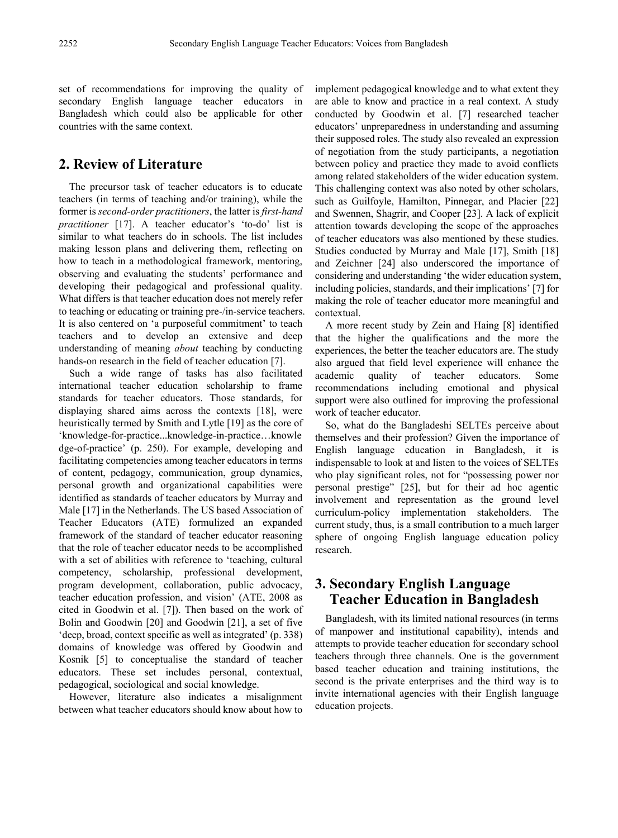set of recommendations for improving the quality of secondary English language teacher educators in Bangladesh which could also be applicable for other countries with the same context.

# **2. Review of Literature**

The precursor task of teacher educators is to educate teachers (in terms of teaching and/or training), while the former is *second-order practitioners*, the latter is *first-hand practitioner* [17]. A teacher educator's 'to-do' list is similar to what teachers do in schools. The list includes making lesson plans and delivering them, reflecting on how to teach in a methodological framework, mentoring, observing and evaluating the students' performance and developing their pedagogical and professional quality. What differs is that teacher education does not merely refer to teaching or educating or training pre-/in-service teachers. It is also centered on 'a purposeful commitment' to teach teachers and to develop an extensive and deep understanding of meaning *about* teaching by conducting hands-on research in the field of teacher education [7].

Such a wide range of tasks has also facilitated international teacher education scholarship to frame standards for teacher educators. Those standards, for displaying shared aims across the contexts [18], were heuristically termed by Smith and Lytle [19] as the core of 'knowledge-for-practice...knowledge-in-practice…knowle dge-of-practice' (p. 250). For example, developing and facilitating competencies among teacher educators in terms of content, pedagogy, communication, group dynamics, personal growth and organizational capabilities were identified as standards of teacher educators by Murray and Male [17] in the Netherlands. The US based Association of Teacher Educators (ATE) formulized an expanded framework of the standard of teacher educator reasoning that the role of teacher educator needs to be accomplished with a set of abilities with reference to 'teaching, cultural competency, scholarship, professional development, program development, collaboration, public advocacy, teacher education profession, and vision' (ATE, 2008 as cited in Goodwin et al. [7]). Then based on the work of Bolin and Goodwin [20] and Goodwin [21], a set of five 'deep, broad, context specific as well as integrated' (p. 338) domains of knowledge was offered by Goodwin and Kosnik [5] to conceptualise the standard of teacher educators. These set includes personal, contextual, pedagogical, sociological and social knowledge.

However, literature also indicates a misalignment between what teacher educators should know about how to

implement pedagogical knowledge and to what extent they are able to know and practice in a real context. A study conducted by Goodwin et al. [7] researched teacher educators' unpreparedness in understanding and assuming their supposed roles. The study also revealed an expression of negotiation from the study participants, a negotiation between policy and practice they made to avoid conflicts among related stakeholders of the wider education system. This challenging context was also noted by other scholars, such as Guilfoyle, Hamilton, Pinnegar, and Placier [22] and Swennen, Shagrir, and Cooper [23]. A lack of explicit attention towards developing the scope of the approaches of teacher educators was also mentioned by these studies. Studies conducted by Murray and Male [17], Smith [18] and Zeichner [24] also underscored the importance of considering and understanding 'the wider education system, including policies, standards, and their implications' [7] for making the role of teacher educator more meaningful and contextual.

A more recent study by Zein and Haing [8] identified that the higher the qualifications and the more the experiences, the better the teacher educators are. The study also argued that field level experience will enhance the academic quality of teacher educators. Some academic quality of teacher educators. Some recommendations including emotional and physical support were also outlined for improving the professional work of teacher educator.

So, what do the Bangladeshi SELTEs perceive about themselves and their profession? Given the importance of English language education in Bangladesh, it is indispensable to look at and listen to the voices of SELTEs who play significant roles, not for "possessing power nor personal prestige" [25], but for their ad hoc agentic involvement and representation as the ground level curriculum-policy implementation stakeholders. The current study, thus, is a small contribution to a much larger sphere of ongoing English language education policy research.

# **3. Secondary English Language Teacher Education in Bangladesh**

Bangladesh, with its limited national resources (in terms of manpower and institutional capability), intends and attempts to provide teacher education for secondary school teachers through three channels. One is the government based teacher education and training institutions, the second is the private enterprises and the third way is to invite international agencies with their English language education projects.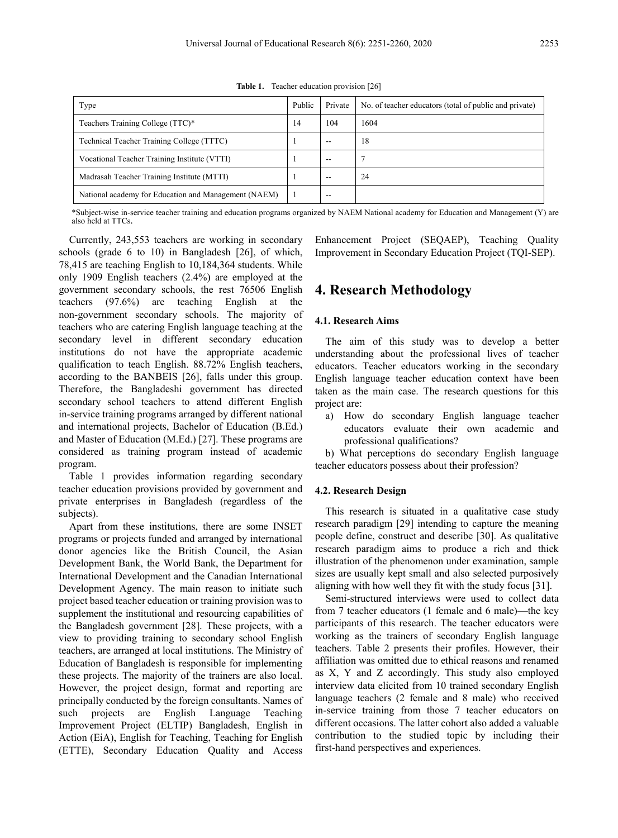| Type                                                 | Public | Private | No. of teacher educators (total of public and private) |
|------------------------------------------------------|--------|---------|--------------------------------------------------------|
| Teachers Training College (TTC)*                     | 14     | 104     | 1604                                                   |
| Technical Teacher Training College (TTTC)            |        | --      | 18                                                     |
| Vocational Teacher Training Institute (VTTI)         |        | --      |                                                        |
| Madrasah Teacher Training Institute (MTTI)           |        | --      | 24                                                     |
| National academy for Education and Management (NAEM) |        | --      |                                                        |

**Table 1.** Teacher education provision [26]

\*Subject-wise in-service teacher training and education programs organized by NAEM National academy for Education and Management (Y) are also held at TTCs.

Currently, 243,553 teachers are working in secondary schools (grade 6 to 10) in Bangladesh [26], of which, 78,415 are teaching English to 10,184,364 students. While only 1909 English teachers (2.4%) are employed at the government secondary schools, the rest 76506 English teachers (97.6%) are teaching English at the non-government secondary schools. The majority of teachers who are catering English language teaching at the secondary level in different secondary education institutions do not have the appropriate academic qualification to teach English. 88.72% English teachers, according to the BANBEIS [26], falls under this group. Therefore, the Bangladeshi government has directed secondary school teachers to attend different English in-service training programs arranged by different national and international projects, Bachelor of Education (B.Ed.) and Master of Education (M.Ed.) [27]. These programs are considered as training program instead of academic program.

Table 1 provides information regarding secondary teacher education provisions provided by government and private enterprises in Bangladesh (regardless of the subjects).

Apart from these institutions, there are some INSET programs or projects funded and arranged by international donor agencies like the British Council, the Asian Development Bank, the World Bank, the Department for International Development and the Canadian International Development Agency. The main reason to initiate such project based teacher education or training provision was to supplement the institutional and resourcing capabilities of the Bangladesh government [28]. These projects, with a view to providing training to secondary school English teachers, are arranged at local institutions. The Ministry of Education of Bangladesh is responsible for implementing these projects. The majority of the trainers are also local. However, the project design, format and reporting are principally conducted by the foreign consultants. Names of such projects are English Language Teaching Improvement Project (ELTIP) Bangladesh, English in Action (EiA), English for Teaching, Teaching for English (ETTE), Secondary Education Quality and Access

Enhancement Project (SEQAEP), Teaching Quality Improvement in Secondary Education Project (TQI-SEP).

# **4. Research Methodology**

### **4.1. Research Aims**

The aim of this study was to develop a better understanding about the professional lives of teacher educators. Teacher educators working in the secondary English language teacher education context have been taken as the main case. The research questions for this project are:

a) How do secondary English language teacher educators evaluate their own academic and professional qualifications?

b) What perceptions do secondary English language teacher educators possess about their profession?

## **4.2. Research Design**

This research is situated in a qualitative case study research paradigm [29] intending to capture the meaning people define, construct and describe [30]. As qualitative research paradigm aims to produce a rich and thick illustration of the phenomenon under examination, sample sizes are usually kept small and also selected purposively aligning with how well they fit with the study focus [31].

Semi-structured interviews were used to collect data from 7 teacher educators (1 female and 6 male)—the key participants of this research. The teacher educators were working as the trainers of secondary English language teachers. Table 2 presents their profiles. However, their affiliation was omitted due to ethical reasons and renamed as X, Y and Z accordingly. This study also employed interview data elicited from 10 trained secondary English language teachers (2 female and 8 male) who received in-service training from those 7 teacher educators on different occasions. The latter cohort also added a valuable contribution to the studied topic by including their first-hand perspectives and experiences.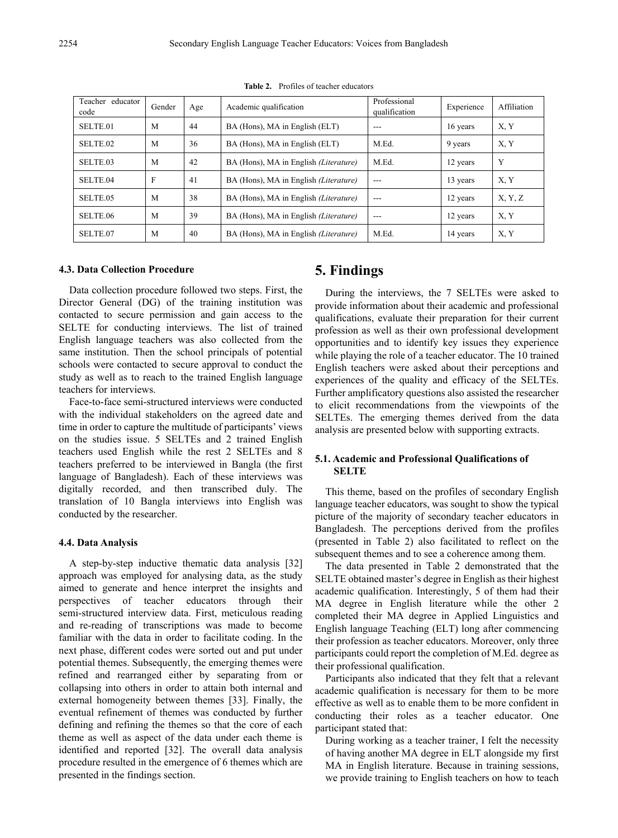| Teacher educator<br>code | Gender | Age | Academic qualification                       | Professional<br>qualification | Experience | Affiliation |
|--------------------------|--------|-----|----------------------------------------------|-------------------------------|------------|-------------|
| SELTE 01                 | M      | 44  | BA (Hons), MA in English (ELT)               | $- - -$                       | 16 years   | X, Y        |
| SELTE 02                 | M      | 36  | BA (Hons), MA in English (ELT)               | M.Ed.                         | 9 years    | X, Y        |
| SELTE 03                 | M      | 42  | BA (Hons), MA in English <i>(Literature)</i> | M.Ed.                         | 12 years   | Y           |
| SELTE 04                 | F      | 41  | BA (Hons), MA in English <i>(Literature)</i> | $-$ --                        | 13 years   | X, Y        |
| SELTE 05                 | M      | 38  | BA (Hons), MA in English <i>(Literature)</i> | $---$                         | 12 years   | X, Y, Z     |
| SELTE 06                 | M      | 39  | BA (Hons), MA in English (Literature)        | $---$                         | 12 years   | X, Y        |
| SELTE.07                 | M      | 40  | BA (Hons), MA in English <i>(Literature)</i> | M.Ed.                         | 14 years   | X, Y        |

**Table 2.** Profiles of teacher educators

#### **4.3. Data Collection Procedure**

Data collection procedure followed two steps. First, the Director General (DG) of the training institution was contacted to secure permission and gain access to the SELTE for conducting interviews. The list of trained English language teachers was also collected from the same institution. Then the school principals of potential schools were contacted to secure approval to conduct the study as well as to reach to the trained English language teachers for interviews.

Face-to-face semi-structured interviews were conducted with the individual stakeholders on the agreed date and time in order to capture the multitude of participants' views on the studies issue. 5 SELTEs and 2 trained English teachers used English while the rest 2 SELTEs and 8 teachers preferred to be interviewed in Bangla (the first language of Bangladesh). Each of these interviews was digitally recorded, and then transcribed duly. The translation of 10 Bangla interviews into English was conducted by the researcher.

#### **4.4. Data Analysis**

A step-by-step inductive thematic data analysis [32] approach was employed for analysing data, as the study aimed to generate and hence interpret the insights and perspectives of teacher educators through their semi-structured interview data. First, meticulous reading and re-reading of transcriptions was made to become familiar with the data in order to facilitate coding. In the next phase, different codes were sorted out and put under potential themes. Subsequently, the emerging themes were refined and rearranged either by separating from or collapsing into others in order to attain both internal and external homogeneity between themes [33]. Finally, the eventual refinement of themes was conducted by further defining and refining the themes so that the core of each theme as well as aspect of the data under each theme is identified and reported [32]. The overall data analysis procedure resulted in the emergence of 6 themes which are presented in the findings section.

## **5. Findings**

During the interviews, the 7 SELTEs were asked to provide information about their academic and professional qualifications, evaluate their preparation for their current profession as well as their own professional development opportunities and to identify key issues they experience while playing the role of a teacher educator. The 10 trained English teachers were asked about their perceptions and experiences of the quality and efficacy of the SELTEs. Further amplificatory questions also assisted the researcher to elicit recommendations from the viewpoints of the SELTEs. The emerging themes derived from the data analysis are presented below with supporting extracts.

## **5.1. Academic and Professional Qualifications of SELTE**

This theme, based on the profiles of secondary English language teacher educators, was sought to show the typical picture of the majority of secondary teacher educators in Bangladesh. The perceptions derived from the profiles (presented in Table 2) also facilitated to reflect on the subsequent themes and to see a coherence among them.

The data presented in Table 2 demonstrated that the SELTE obtained master's degree in English as their highest academic qualification. Interestingly, 5 of them had their MA degree in English literature while the other 2 completed their MA degree in Applied Linguistics and English language Teaching (ELT) long after commencing their profession as teacher educators. Moreover, only three participants could report the completion of M.Ed. degree as their professional qualification.

Participants also indicated that they felt that a relevant academic qualification is necessary for them to be more effective as well as to enable them to be more confident in conducting their roles as a teacher educator. One participant stated that:

During working as a teacher trainer, I felt the necessity of having another MA degree in ELT alongside my first MA in English literature. Because in training sessions, we provide training to English teachers on how to teach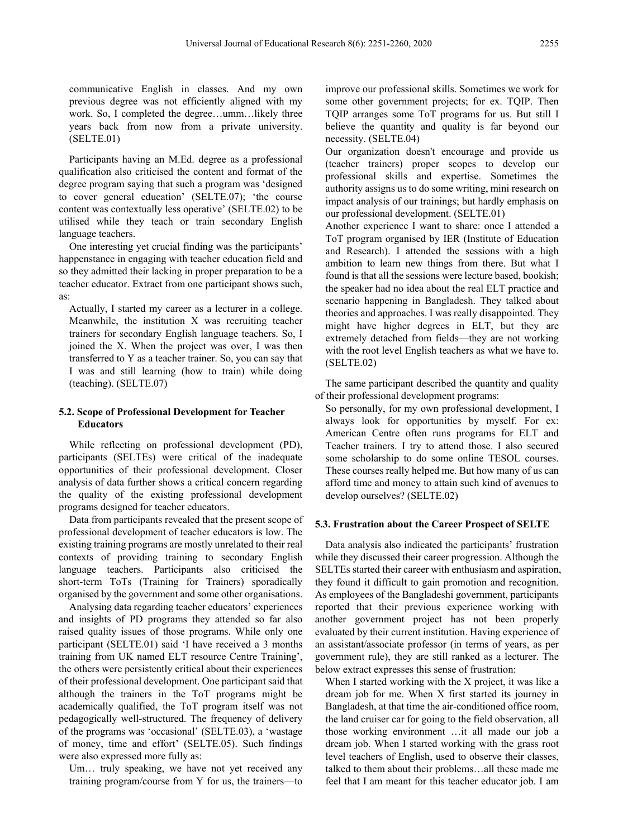communicative English in classes. And my own previous degree was not efficiently aligned with my work. So, I completed the degree…umm…likely three years back from now from a private university. (SELTE.01)

Participants having an M.Ed. degree as a professional qualification also criticised the content and format of the degree program saying that such a program was 'designed to cover general education' (SELTE.07); 'the course content was contextually less operative' (SELTE.02) to be utilised while they teach or train secondary English language teachers.

One interesting yet crucial finding was the participants' happenstance in engaging with teacher education field and so they admitted their lacking in proper preparation to be a teacher educator. Extract from one participant shows such, as:

Actually, I started my career as a lecturer in a college. Meanwhile, the institution X was recruiting teacher trainers for secondary English language teachers. So, I joined the X. When the project was over, I was then transferred to Y as a teacher trainer. So, you can say that I was and still learning (how to train) while doing (teaching). (SELTE.07)

## **5.2. Scope of Professional Development for Teacher Educators**

While reflecting on professional development (PD), participants (SELTEs) were critical of the inadequate opportunities of their professional development. Closer analysis of data further shows a critical concern regarding the quality of the existing professional development programs designed for teacher educators.

Data from participants revealed that the present scope of professional development of teacher educators is low. The existing training programs are mostly unrelated to their real contexts of providing training to secondary English language teachers. Participants also criticised the short-term ToTs (Training for Trainers) sporadically organised by the government and some other organisations.

Analysing data regarding teacher educators' experiences and insights of PD programs they attended so far also raised quality issues of those programs. While only one participant (SELTE.01) said 'I have received a 3 months training from UK named ELT resource Centre Training', the others were persistently critical about their experiences of their professional development. One participant said that although the trainers in the ToT programs might be academically qualified, the ToT program itself was not pedagogically well-structured. The frequency of delivery of the programs was 'occasional' (SELTE.03), a 'wastage of money, time and effort' (SELTE.05). Such findings were also expressed more fully as:

Um... truly speaking, we have not yet received any training program/course from Y for us, the trainers—to improve our professional skills. Sometimes we work for some other government projects; for ex. TQIP. Then TQIP arranges some ToT programs for us. But still I believe the quantity and quality is far beyond our necessity. (SELTE.04)

Our organization doesn't encourage and provide us (teacher trainers) proper scopes to develop our professional skills and expertise. Sometimes the authority assigns us to do some writing, mini research on impact analysis of our trainings; but hardly emphasis on our professional development. (SELTE.01)

Another experience I want to share: once I attended a ToT program organised by IER (Institute of Education and Research). I attended the sessions with a high ambition to learn new things from there. But what I found is that all the sessions were lecture based, bookish; the speaker had no idea about the real ELT practice and scenario happening in Bangladesh. They talked about theories and approaches. I was really disappointed. They might have higher degrees in ELT, but they are extremely detached from fields—they are not working with the root level English teachers as what we have to. (SELTE.02)

The same participant described the quantity and quality of their professional development programs:

So personally, for my own professional development, I always look for opportunities by myself. For ex: American Centre often runs programs for ELT and Teacher trainers. I try to attend those. I also secured some scholarship to do some online TESOL courses. These courses really helped me. But how many of us can afford time and money to attain such kind of avenues to develop ourselves? (SELTE.02)

#### **5.3. Frustration about the Career Prospect of SELTE**

Data analysis also indicated the participants' frustration while they discussed their career progression. Although the SELTEs started their career with enthusiasm and aspiration, they found it difficult to gain promotion and recognition. As employees of the Bangladeshi government, participants reported that their previous experience working with another government project has not been properly evaluated by their current institution. Having experience of an assistant/associate professor (in terms of years, as per government rule), they are still ranked as a lecturer. The below extract expresses this sense of frustration:

When I started working with the X project, it was like a dream job for me. When X first started its journey in Bangladesh, at that time the air-conditioned office room, the land cruiser car for going to the field observation, all those working environment …it all made our job a dream job. When I started working with the grass root level teachers of English, used to observe their classes, talked to them about their problems…all these made me feel that I am meant for this teacher educator job. I am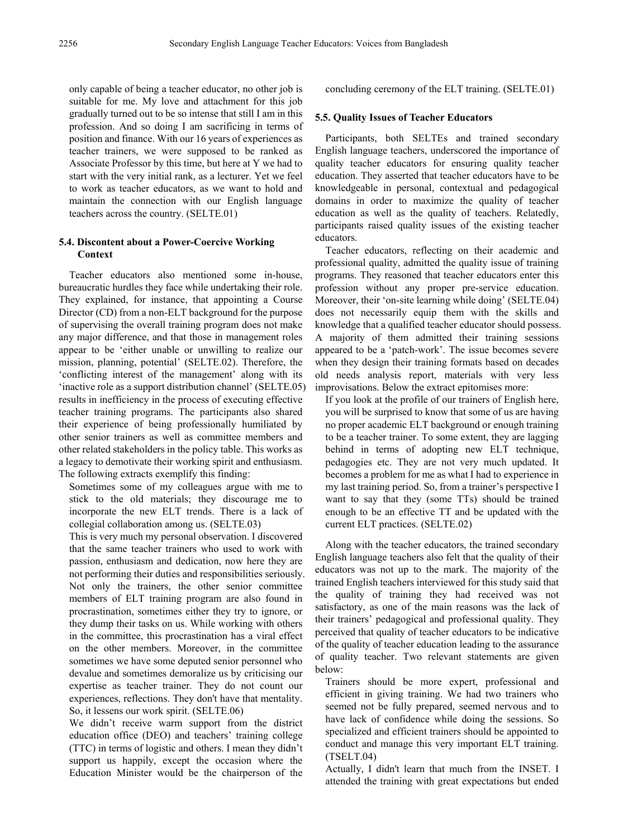only capable of being a teacher educator, no other job is suitable for me. My love and attachment for this job gradually turned out to be so intense that still I am in this profession. And so doing I am sacrificing in terms of position and finance. With our 16 years of experiences as teacher trainers, we were supposed to be ranked as Associate Professor by this time, but here at Y we had to start with the very initial rank, as a lecturer. Yet we feel to work as teacher educators, as we want to hold and maintain the connection with our English language teachers across the country. (SELTE.01)

## **5.4. Discontent about a Power-Coercive Working Context**

Teacher educators also mentioned some in-house, bureaucratic hurdles they face while undertaking their role. They explained, for instance, that appointing a Course Director (CD) from a non-ELT background for the purpose of supervising the overall training program does not make any major difference, and that those in management roles appear to be 'either unable or unwilling to realize our mission, planning, potential' (SELTE.02). Therefore, the 'conflicting interest of the management' along with its 'inactive role as a support distribution channel' (SELTE.05) results in inefficiency in the process of executing effective teacher training programs. The participants also shared their experience of being professionally humiliated by other senior trainers as well as committee members and other related stakeholders in the policy table. This works as a legacy to demotivate their working spirit and enthusiasm. The following extracts exemplify this finding:

Sometimes some of my colleagues argue with me to stick to the old materials; they discourage me to incorporate the new ELT trends. There is a lack of collegial collaboration among us. (SELTE.03)

This is very much my personal observation. I discovered that the same teacher trainers who used to work with passion, enthusiasm and dedication, now here they are not performing their duties and responsibilities seriously. Not only the trainers, the other senior committee members of ELT training program are also found in procrastination, sometimes either they try to ignore, or they dump their tasks on us. While working with others in the committee, this procrastination has a viral effect on the other members. Moreover, in the committee sometimes we have some deputed senior personnel who devalue and sometimes demoralize us by criticising our expertise as teacher trainer. They do not count our experiences, reflections. They don't have that mentality. So, it lessens our work spirit. (SELTE.06)

We didn't receive warm support from the district education office (DEO) and teachers' training college (TTC) in terms of logistic and others. I mean they didn't support us happily, except the occasion where the Education Minister would be the chairperson of the concluding ceremony of the ELT training. (SELTE.01)

#### **5.5. Quality Issues of Teacher Educators**

Participants, both SELTEs and trained secondary English language teachers, underscored the importance of quality teacher educators for ensuring quality teacher education. They asserted that teacher educators have to be knowledgeable in personal, contextual and pedagogical domains in order to maximize the quality of teacher education as well as the quality of teachers. Relatedly, participants raised quality issues of the existing teacher educators.

Teacher educators, reflecting on their academic and professional quality, admitted the quality issue of training programs. They reasoned that teacher educators enter this profession without any proper pre-service education. Moreover, their 'on-site learning while doing' (SELTE.04) does not necessarily equip them with the skills and knowledge that a qualified teacher educator should possess. A majority of them admitted their training sessions appeared to be a 'patch-work'. The issue becomes severe when they design their training formats based on decades old needs analysis report, materials with very less improvisations. Below the extract epitomises more:

If you look at the profile of our trainers of English here, you will be surprised to know that some of us are having no proper academic ELT background or enough training to be a teacher trainer. To some extent, they are lagging behind in terms of adopting new ELT technique, pedagogies etc. They are not very much updated. It becomes a problem for me as what I had to experience in my last training period. So, from a trainer's perspective I want to say that they (some TTs) should be trained enough to be an effective TT and be updated with the current ELT practices. (SELTE.02)

Along with the teacher educators, the trained secondary English language teachers also felt that the quality of their educators was not up to the mark. The majority of the trained English teachers interviewed for this study said that the quality of training they had received was not satisfactory, as one of the main reasons was the lack of their trainers' pedagogical and professional quality. They perceived that quality of teacher educators to be indicative of the quality of teacher education leading to the assurance of quality teacher. Two relevant statements are given below:

Trainers should be more expert, professional and efficient in giving training. We had two trainers who seemed not be fully prepared, seemed nervous and to have lack of confidence while doing the sessions. So specialized and efficient trainers should be appointed to conduct and manage this very important ELT training. (TSELT.04)

Actually, I didn't learn that much from the INSET. I attended the training with great expectations but ended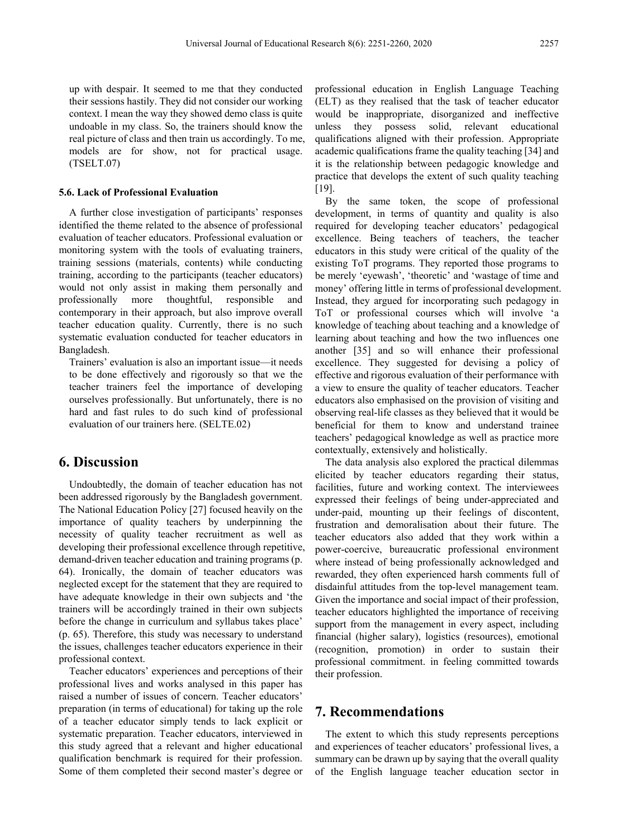up with despair. It seemed to me that they conducted their sessions hastily. They did not consider our working context. I mean the way they showed demo class is quite undoable in my class. So, the trainers should know the real picture of class and then train us accordingly. To me, models are for show, not for practical usage. (TSELT.07)

#### **5.6. Lack of Professional Evaluation**

A further close investigation of participants' responses identified the theme related to the absence of professional evaluation of teacher educators. Professional evaluation or monitoring system with the tools of evaluating trainers, training sessions (materials, contents) while conducting training, according to the participants (teacher educators) would not only assist in making them personally and professionally more thoughtful, responsible and contemporary in their approach, but also improve overall teacher education quality. Currently, there is no such systematic evaluation conducted for teacher educators in Bangladesh.

Trainers' evaluation is also an important issue—it needs to be done effectively and rigorously so that we the teacher trainers feel the importance of developing ourselves professionally. But unfortunately, there is no hard and fast rules to do such kind of professional evaluation of our trainers here. (SELTE.02)

## **6. Discussion**

Undoubtedly, the domain of teacher education has not been addressed rigorously by the Bangladesh government. The National Education Policy [27] focused heavily on the importance of quality teachers by underpinning the necessity of quality teacher recruitment as well as developing their professional excellence through repetitive, demand-driven teacher education and training programs (p. 64). Ironically, the domain of teacher educators was neglected except for the statement that they are required to have adequate knowledge in their own subjects and 'the trainers will be accordingly trained in their own subjects before the change in curriculum and syllabus takes place' (p. 65). Therefore, this study was necessary to understand the issues, challenges teacher educators experience in their professional context.

Teacher educators' experiences and perceptions of their professional lives and works analysed in this paper has raised a number of issues of concern. Teacher educators' preparation (in terms of educational) for taking up the role of a teacher educator simply tends to lack explicit or systematic preparation. Teacher educators, interviewed in this study agreed that a relevant and higher educational qualification benchmark is required for their profession. Some of them completed their second master's degree or

professional education in English Language Teaching (ELT) as they realised that the task of teacher educator would be inappropriate, disorganized and ineffective unless they possess solid, relevant educational qualifications aligned with their profession. Appropriate academic qualifications frame the quality teaching [34] and it is the relationship between pedagogic knowledge and practice that develops the extent of such quality teaching [19].

By the same token, the scope of professional development, in terms of quantity and quality is also required for developing teacher educators' pedagogical excellence. Being teachers of teachers, the teacher educators in this study were critical of the quality of the existing ToT programs. They reported those programs to be merely 'eyewash', 'theoretic' and 'wastage of time and money' offering little in terms of professional development. Instead, they argued for incorporating such pedagogy in ToT or professional courses which will involve 'a knowledge of teaching about teaching and a knowledge of learning about teaching and how the two influences one another [35] and so will enhance their professional excellence. They suggested for devising a policy of effective and rigorous evaluation of their performance with a view to ensure the quality of teacher educators. Teacher educators also emphasised on the provision of visiting and observing real-life classes as they believed that it would be beneficial for them to know and understand trainee teachers' pedagogical knowledge as well as practice more contextually, extensively and holistically.

The data analysis also explored the practical dilemmas elicited by teacher educators regarding their status, facilities, future and working context. The interviewees expressed their feelings of being under-appreciated and under-paid, mounting up their feelings of discontent, frustration and demoralisation about their future. The teacher educators also added that they work within a power-coercive, bureaucratic professional environment where instead of being professionally acknowledged and rewarded, they often experienced harsh comments full of disdainful attitudes from the top-level management team. Given the importance and social impact of their profession, teacher educators highlighted the importance of receiving support from the management in every aspect, including financial (higher salary), logistics (resources), emotional (recognition, promotion) in order to sustain their professional commitment. in feeling committed towards their profession.

## **7. Recommendations**

The extent to which this study represents perceptions and experiences of teacher educators' professional lives, a summary can be drawn up by saying that the overall quality of the English language teacher education sector in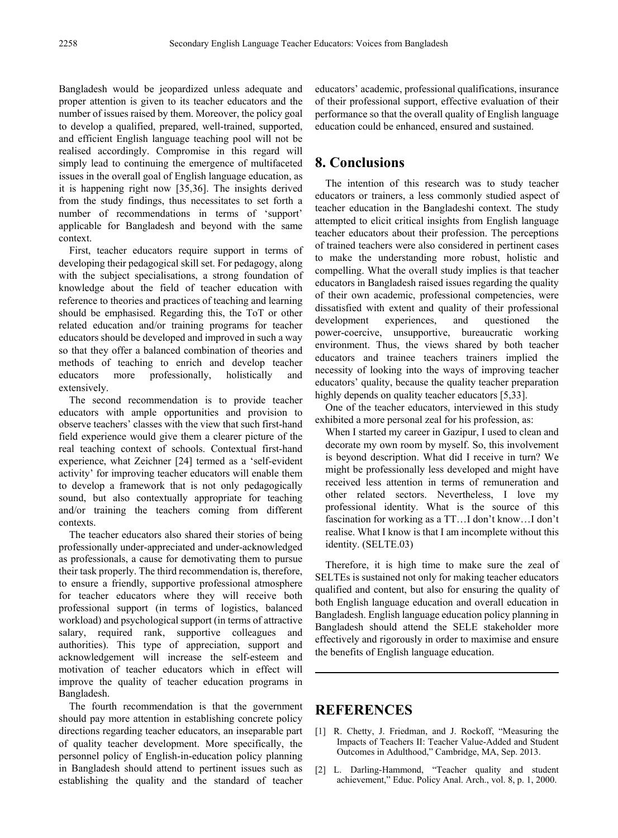Bangladesh would be jeopardized unless adequate and proper attention is given to its teacher educators and the number of issues raised by them. Moreover, the policy goal to develop a qualified, prepared, well-trained, supported, and efficient English language teaching pool will not be realised accordingly. Compromise in this regard will simply lead to continuing the emergence of multifaceted issues in the overall goal of English language education, as it is happening right now [35,36]. The insights derived from the study findings, thus necessitates to set forth a number of recommendations in terms of 'support' applicable for Bangladesh and beyond with the same context.

First, teacher educators require support in terms of developing their pedagogical skill set. For pedagogy, along with the subject specialisations, a strong foundation of knowledge about the field of teacher education with reference to theories and practices of teaching and learning should be emphasised. Regarding this, the ToT or other related education and/or training programs for teacher educators should be developed and improved in such a way so that they offer a balanced combination of theories and methods of teaching to enrich and develop teacher educators more professionally, holistically and extensively.

The second recommendation is to provide teacher educators with ample opportunities and provision to observe teachers' classes with the view that such first-hand field experience would give them a clearer picture of the real teaching context of schools. Contextual first-hand experience, what Zeichner [24] termed as a 'self-evident activity' for improving teacher educators will enable them to develop a framework that is not only pedagogically sound, but also contextually appropriate for teaching and/or training the teachers coming from different contexts.

The teacher educators also shared their stories of being professionally under-appreciated and under-acknowledged as professionals, a cause for demotivating them to pursue their task properly. The third recommendation is, therefore, to ensure a friendly, supportive professional atmosphere for teacher educators where they will receive both professional support (in terms of logistics, balanced workload) and psychological support (in terms of attractive salary, required rank, supportive colleagues and authorities). This type of appreciation, support and acknowledgement will increase the self-esteem and motivation of teacher educators which in effect will improve the quality of teacher education programs in Bangladesh.

The fourth recommendation is that the government should pay more attention in establishing concrete policy directions regarding teacher educators, an inseparable part of quality teacher development. More specifically, the personnel policy of English-in-education policy planning in Bangladesh should attend to pertinent issues such as establishing the quality and the standard of teacher educators' academic, professional qualifications, insurance of their professional support, effective evaluation of their performance so that the overall quality of English language education could be enhanced, ensured and sustained.

# **8. Conclusions**

The intention of this research was to study teacher educators or trainers, a less commonly studied aspect of teacher education in the Bangladeshi context. The study attempted to elicit critical insights from English language teacher educators about their profession. The perceptions of trained teachers were also considered in pertinent cases to make the understanding more robust, holistic and compelling. What the overall study implies is that teacher educators in Bangladesh raised issues regarding the quality of their own academic, professional competencies, were dissatisfied with extent and quality of their professional development experiences, and questioned the power-coercive, unsupportive, bureaucratic working environment. Thus, the views shared by both teacher educators and trainee teachers trainers implied the necessity of looking into the ways of improving teacher educators' quality, because the quality teacher preparation highly depends on quality teacher educators [5,33].

One of the teacher educators, interviewed in this study exhibited a more personal zeal for his profession, as:

When I started my career in Gazipur, I used to clean and decorate my own room by myself. So, this involvement is beyond description. What did I receive in turn? We might be professionally less developed and might have received less attention in terms of remuneration and other related sectors. Nevertheless, I love my professional identity. What is the source of this fascination for working as a TT…I don't know…I don't realise. What I know is that I am incomplete without this identity. (SELTE.03)

Therefore, it is high time to make sure the zeal of SELTEs is sustained not only for making teacher educators qualified and content, but also for ensuring the quality of both English language education and overall education in Bangladesh. English language education policy planning in Bangladesh should attend the SELE stakeholder more effectively and rigorously in order to maximise and ensure the benefits of English language education.

## **REFERENCES**

- [1] R. Chetty, J. Friedman, and J. Rockoff, "Measuring the Impacts of Teachers II: Teacher Value-Added and Student Outcomes in Adulthood," Cambridge, MA, Sep. 2013.
- [2] L. Darling-Hammond, "Teacher quality and student achievement," Educ. Policy Anal. Arch., vol. 8, p. 1, 2000.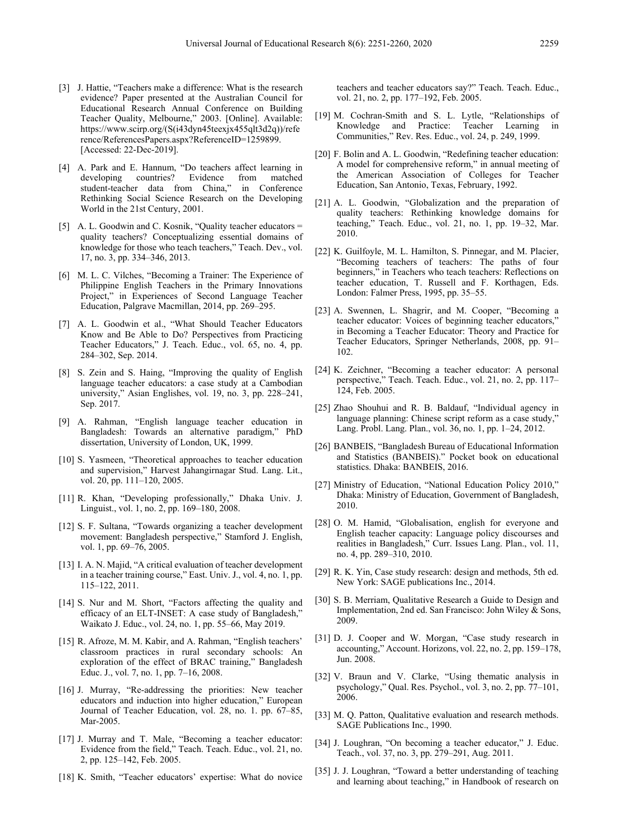- [3] J. Hattie, "Teachers make a difference: What is the research evidence? Paper presented at the Australian Council for Educational Research Annual Conference on Building Teacher Quality, Melbourne," 2003. [Online]. Available: https://www.scirp.org/(S(i43dyn45teexjx455qlt3d2q))/refe rence/ReferencesPapers.aspx?ReferenceID=1259899. [Accessed: 22-Dec-2019].
- [4] A. Park and E. Hannum, "Do teachers affect learning in developing countries? Evidence from matched student-teacher data from China," in Conference Rethinking Social Science Research on the Developing World in the 21st Century, 2001.
- [5] A. L. Goodwin and C. Kosnik, "Quality teacher educators = quality teachers? Conceptualizing essential domains of knowledge for those who teach teachers," Teach. Dev., vol. 17, no. 3, pp. 334–346, 2013.
- [6] M. L. C. Vilches, "Becoming a Trainer: The Experience of Philippine English Teachers in the Primary Innovations Project," in Experiences of Second Language Teacher Education, Palgrave Macmillan, 2014, pp. 269–295.
- [7] A. L. Goodwin et al., "What Should Teacher Educators Know and Be Able to Do? Perspectives from Practicing Teacher Educators," J. Teach. Educ., vol. 65, no. 4, pp. 284–302, Sep. 2014.
- [8] S. Zein and S. Haing, "Improving the quality of English language teacher educators: a case study at a Cambodian university," Asian Englishes, vol. 19, no. 3, pp. 228–241, Sep. 2017.
- [9] A. Rahman, "English language teacher education in Bangladesh: Towards an alternative paradigm," PhD dissertation, University of London, UK, 1999.
- [10] S. Yasmeen, "Theoretical approaches to teacher education and supervision," Harvest Jahangirnagar Stud. Lang. Lit., vol. 20, pp. 111–120, 2005.
- [11] R. Khan, "Developing professionally," Dhaka Univ. J. Linguist., vol. 1, no. 2, pp. 169–180, 2008.
- [12] S. F. Sultana, "Towards organizing a teacher development movement: Bangladesh perspective," Stamford J. English, vol. 1, pp. 69–76, 2005.
- [13] I. A. N. Majid, "A critical evaluation of teacher development in a teacher training course," East. Univ. J., vol. 4, no. 1, pp. 115–122, 2011.
- [14] S. Nur and M. Short, "Factors affecting the quality and efficacy of an ELT-INSET: A case study of Bangladesh," Waikato J. Educ., vol. 24, no. 1, pp. 55–66, May 2019.
- [15] R. Afroze, M. M. Kabir, and A. Rahman, "English teachers" classroom practices in rural secondary schools: An exploration of the effect of BRAC training," Bangladesh Educ. J., vol. 7, no. 1, pp. 7–16, 2008.
- [16] J. Murray, "Re-addressing the priorities: New teacher educators and induction into higher education," European Journal of Teacher Education, vol. 28, no. 1. pp. 67–85, Mar-2005.
- [17] J. Murray and T. Male, "Becoming a teacher educator: Evidence from the field," Teach. Teach. Educ., vol. 21, no. 2, pp. 125–142, Feb. 2005.
- [18] K. Smith, "Teacher educators' expertise: What do novice

teachers and teacher educators say?" Teach. Teach. Educ., vol. 21, no. 2, pp. 177–192, Feb. 2005.

- [19] M. Cochran-Smith and S. L. Lytle, "Relationships of Knowledge and Practice: Teacher Learning in Communities," Rev. Res. Educ., vol. 24, p. 249, 1999.
- [20] F. Bolin and A. L. Goodwin, "Redefining teacher education: A model for comprehensive reform," in annual meeting of the American Association of Colleges for Teacher Education, San Antonio, Texas, February, 1992.
- [21] A. L. Goodwin, "Globalization and the preparation of quality teachers: Rethinking knowledge domains for teaching," Teach. Educ., vol. 21, no. 1, pp. 19–32, Mar. 2010.
- [22] K. Guilfoyle, M. L. Hamilton, S. Pinnegar, and M. Placier, "Becoming teachers of teachers: The paths of four beginners," in Teachers who teach teachers: Reflections on teacher education, T. Russell and F. Korthagen, Eds. London: Falmer Press, 1995, pp. 35–55.
- [23] A. Swennen, L. Shagrir, and M. Cooper, "Becoming a teacher educator: Voices of beginning teacher educators," in Becoming a Teacher Educator: Theory and Practice for Teacher Educators, Springer Netherlands, 2008, pp. 91– 102.
- [24] K. Zeichner, "Becoming a teacher educator: A personal perspective," Teach. Teach. Educ., vol. 21, no. 2, pp. 117– 124, Feb. 2005.
- [25] Zhao Shouhui and R. B. Baldauf, "Individual agency in language planning: Chinese script reform as a case study,' Lang. Probl. Lang. Plan., vol. 36, no. 1, pp. 1–24, 2012.
- [26] BANBEIS, "Bangladesh Bureau of Educational Information and Statistics (BANBEIS)." Pocket book on educational statistics. Dhaka: BANBEIS, 2016.
- [27] Ministry of Education, "National Education Policy 2010," Dhaka: Ministry of Education, Government of Bangladesh, 2010.
- [28] O. M. Hamid, "Globalisation, english for everyone and English teacher capacity: Language policy discourses and realities in Bangladesh," Curr. Issues Lang. Plan., vol. 11, no. 4, pp. 289–310, 2010.
- [29] R. K. Yin, Case study research: design and methods, 5th ed. New York: SAGE publications Inc., 2014.
- [30] S. B. Merriam, Qualitative Research a Guide to Design and Implementation, 2nd ed. San Francisco: John Wiley & Sons, 2009.
- [31] D. J. Cooper and W. Morgan, "Case study research in accounting," Account. Horizons, vol. 22, no. 2, pp. 159–178, Jun. 2008.
- [32] V. Braun and V. Clarke, "Using thematic analysis in psychology," Qual. Res. Psychol., vol. 3, no. 2, pp. 77–101, 2006.
- [33] M. Q. Patton, Qualitative evaluation and research methods. SAGE Publications Inc., 1990.
- [34] J. Loughran, "On becoming a teacher educator," J. Educ. Teach., vol. 37, no. 3, pp. 279–291, Aug. 2011.
- [35] J. J. Loughran, "Toward a better understanding of teaching and learning about teaching," in Handbook of research on